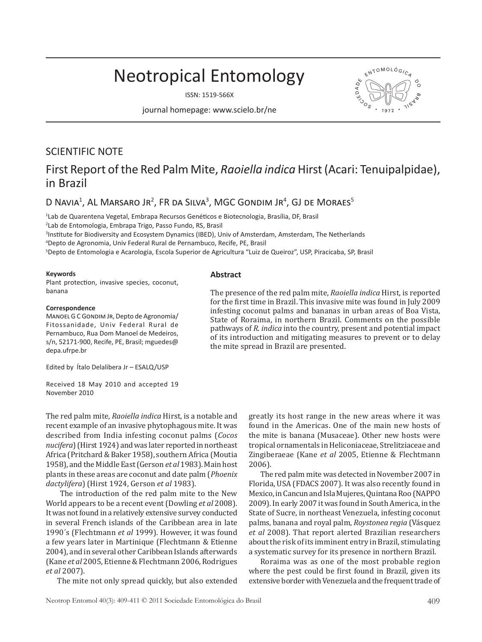# Neotropical Entomology

ISSN: 1519-566X

journal homepage: www.scielo.br/ne

## SCIENTIFIC NOTE

# First Report of the Red Palm Mite, *Raoiella indica* Hirst (Acari: Tenuipalpidae), in Brazil

### D Navia<sup>1</sup>, AL Marsaro Jr<sup>2</sup>, FR da Silva<sup>3</sup>, MGC Gondim Jr<sup>4</sup>, GJ de Moraes<sup>5</sup>

1 Lab de Quarentena Vegetal, Embrapa Recursos Genéticos e Biotecnologia, Brasília, DF, Brasil

2 Lab de Entomologia, Embrapa Trigo, Passo Fundo, RS, Brasil

3 Institute for Biodiversity and Ecosystem Dynamics (IBED), Univ of Amsterdam, Amsterdam, The Netherlands

4 Depto de Agronomia, Univ Federal Rural de Pernambuco, Recife, PE, Brasil

5 Depto de Entomologia e Acarologia, Escola Superior de Agricultura "Luiz de Queiroz", USP, Piracicaba, SP, Brasil

#### **Keywords**

Plant protection, invasive species, coconut, banana

#### **Correspondence**

Manoel G C Gondim Jr, Depto de Agronomia/ Fitossanidade, Univ Federal Rural de Pernambuco, Rua Dom Manoel de Medeiros, s/n, 52171-900, Recife, PE, Brasil; mguedes@ depa.ufrpe.br

Edited by Ítalo Delalibera Jr – ESALQ/USP

Received 18 May 2010 and accepted 19 November 2010

The red palm mite, *Raoiella indica* Hirst, is a notable and recent example of an invasive phytophagous mite. It was described from India infesting coconut palms (*Cocos nucifera*) (Hirst 1924) and was later reported in northeast Africa (Pritchard & Baker 1958), southern Africa (Moutia 1958), and the Middle East (Gerson *et al* 1983). Main host plants in these areas are coconut and date palm (*Phoenix dactylifera*) (Hirst 1924, Gerson *et al* 1983).

 The introduction of the red palm mite to the New World appears to be a recent event (Dowling *et al* 2008). It was not found in a relatively extensive survey conducted in several French islands of the Caribbean area in late 1990´s (Flechtmann *et al* 1999). However, it was found a few years later in Martinique (Flechtmann & Etienne 2004), and in several other Caribbean Islands afterwards (Kane *et al* 2005, Etienne & Flechtmann 2006, Rodrigues *et al* 2007).

The mite not only spread quickly, but also extended

infesting coconut palms and bananas in urban areas of Boa Vista, State of Roraima, in northern Brazil. Comments on the possible pathways of *R*. *indica* into the country, present and potential impact of its introduction and mitigating measures to prevent or to delay the mite spread in Brazil are presented.

The presence of the red palm mite, *Raoiella indica* Hirst, is reported for the first time in Brazil. This invasive mite was found in July 2009

> greatly its host range in the new areas where it was found in the Americas. One of the main new hosts of the mite is banana (Musaceae). Other new hosts were tropical ornamentals in Heliconiaceae, Strelitziaceae and Zingiberaeae (Kane *et al* 2005, Etienne & Flechtmann 2006).

> The red palm mite was detected in November 2007 in Florida, USA (FDACS 2007). It was also recently found in Mexico, in Cancun and Isla Mujeres, Quintana Roo (NAPPO 2009). In early 2007 it was found in South America, in the State of Sucre, in northeast Venezuela, infesting coconut palms, banana and royal palm, *Roystonea regia* (Vásquez *et al* 2008). That report alerted Brazilian researchers about the risk of its imminent entry in Brazil, stimulating a systematic survey for its presence in northern Brazil.

> Roraima was as one of the most probable region where the pest could be first found in Brazil, given its extensive border with Venezuela and the frequent trade of



#### **Abstract**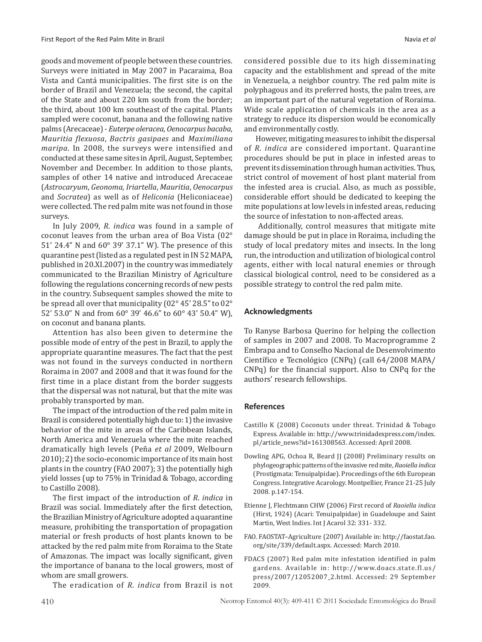goods and movement of people between these countries. Surveys were initiated in May 2007 in Pacaraima, Boa Vista and Cantá municipalities. The first site is on the border of Brazil and Venezuela; the second, the capital of the State and about 220 km south from the border; the third, about 100 km southeast of the capital. Plants sampled were coconut, banana and the following native palms (Arecaceae) - *Euterpe oleracea*, *Oenocarpus bacaba*, *Mauritia flexuosa*, *Bactris gasipaes* and *Maximiliana maripa*. In 2008, the surveys were intensified and conducted at these same sites in April, August, September, November and December. In addition to those plants, samples of other 14 native and introduced Arecaceae (*Astrocaryum*, *Geonoma*, *Iriartella*, *Mauritia*, *Oenocarpus* and *Socratea*) as well as of *Heliconia* (Heliconiaceae) were collected. The red palm mite was not found in those surveys.

In July 2009, *R*. *indica* was found in a sample of coconut leaves from the urban area of Boa Vista (02° 51' 24.4" N and 60° 39' 37.1" W). The presence of this quarantine pest (listed as a regulated pest in IN 52 MAPA, published in 20.XI.2007) in the country was immediately communicated to the Brazilian Ministry of Agriculture following the regulations concerning records of new pests in the country. Subsequent samples showed the mite to be spread all over that municipality (02° 45' 28.5" to 02° 52' 53.0" N and from 60° 39' 46.6" to 60° 43' 50.4" W), on coconut and banana plants.

Attention has also been given to determine the possible mode of entry of the pest in Brazil, to apply the appropriate quarantine measures. The fact that the pest was not found in the surveys conducted in northern Roraima in 2007 and 2008 and that it was found for the first time in a place distant from the border suggests that the dispersal was not natural, but that the mite was probably transported by man.

The impact of the introduction of the red palm mite in Brazil is considered potentially high due to: 1) the invasive behavior of the mite in areas of the Caribbean Islands, North America and Venezuela where the mite reached dramatically high levels (Peña *et al* 2009, Welbourn 2010); 2) the socio-economic importance of its main host plants in the country (FAO 2007); 3) the potentially high yield losses (up to 75% in Trinidad & Tobago, according to Castillo 2008).

The first impact of the introduction of *R*. *indica* in Brazil was social. Immediately after the first detection, the Brazilian Ministry of Agriculture adopted a quarantine measure, prohibiting the transportation of propagation material or fresh products of host plants known to be attacked by the red palm mite from Roraima to the State of Amazonas. The impact was locally significant, given the importance of banana to the local growers, most of whom are small growers.

The eradication of *R*. *indica* from Brazil is not

considered possible due to its high disseminating capacity and the establishment and spread of the mite in Venezuela, a neighbor country. The red palm mite is polyphagous and its preferred hosts, the palm trees, are an important part of the natural vegetation of Roraima. Wide scale application of chemicals in the area as a strategy to reduce its dispersion would be economically and environmentally costly.

However, mitigating measures to inhibit the dispersal of *R*. *indica* are considered important. Quarantine procedures should be put in place in infested areas to prevent its dissemination through human activities. Thus, strict control of movement of host plant material from the infested area is crucial. Also, as much as possible, considerable effort should be dedicated to keeping the mite populations at low levels in infested areas, reducing the source of infestation to non-affected areas.

 Additionally, control measures that mitigate mite damage should be put in place in Roraima, including the study of local predatory mites and insects. In the long run, the introduction and utilization of biological control agents, either with local natural enemies or through classical biological control, need to be considered as a possible strategy to control the red palm mite.

#### **Acknowledgments**

To Ranyse Barbosa Querino for helping the collection of samples in 2007 and 2008. To Macroprogramme 2 Embrapa and to Conselho Nacional de Desenvolvimento Científico e Tecnológico (CNPq) (call 64/2008 MAPA/ CNPq) for the financial support. Also to CNPq for the authors' research fellowships.

#### **References**

- Castillo K (2008) Coconuts under threat. Trinidad & Tobago Express. Available in: http://www.trinidadexpress.com/index. pl/article\_news?id=161308563. Accessed: April 2008.
- Dowling APG, Ochoa R, Beard JJ (2008) Preliminary results on phylogeographic patterns of the invasive red mite, *Raoiella indica* (Prostigmata: Tenuipalpidae). Proceedings of the 6th European Congress. Integrative Acarology. Montpellier, France 21-25 July 2008. p.147-154.
- Etienne J, Flechtmann CHW (2006) First record of *Raoiella indica*  (Hirst, 1924) (Acari: Tenuipalpidae) in Guadeloupe and Saint Martin, West Indies. Int J Acarol 32: 331- 332.
- FAO. FAOSTAT–Agriculture (2007) Available in: http://faostat.fao. org/site/339/default.aspx. Accessed: March 2010.
- FDACS (2007) Red palm mite infestation identified in palm gardens. Available in: http://www.doacs.state.fl.us/ press/2007/12052007\_2.html. Accessed: 29 September 2009.